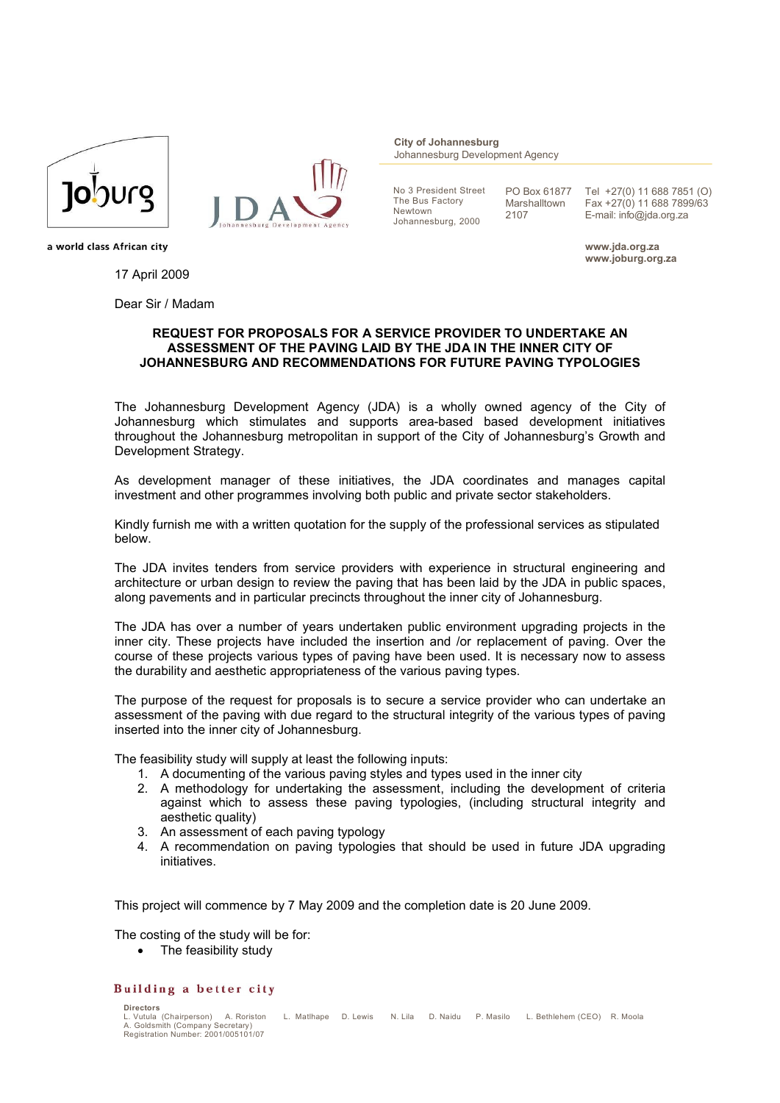



**City of Johannesburg** Johannesburg Development Agency

No 3 President Street The Bus Factory Newtown Johannesburg, 2000

PO Box 61877 Marshalltown 2107

Tel +27(0) 11 688 7851 (O) Fax +27(0) 11 688 7899/63 E-mail: info@jda.org.za

**www.jda.org.za www.joburg.org.za**

a world class African city

17 April 2009

Dear Sir / Madam

## **REQUEST FOR PROPOSALS FOR A SERVICE PROVIDER TO UNDERTAKE AN ASSESSMENT OF THE PAVING LAID BY THE JDA IN THE INNER CITY OF JOHANNESBURG AND RECOMMENDATIONS FOR FUTURE PAVING TYPOLOGIES**

The Johannesburg Development Agency (JDA) is a wholly owned agency of the City of Johannesburg which stimulates and supports area-based based development initiatives throughout the Johannesburg metropolitan in support of the City of Johannesburg's Growth and Development Strategy.

As development manager of these initiatives, the JDA coordinates and manages capital investment and other programmes involving both public and private sector stakeholders.

Kindly furnish me with a written quotation for the supply of the professional services as stipulated below.

The JDA invites tenders from service providers with experience in structural engineering and architecture or urban design to review the paving that has been laid by the JDA in public spaces, along pavements and in particular precincts throughout the inner city of Johannesburg.

The JDA has over a number of years undertaken public environment upgrading projects in the inner city. These projects have included the insertion and /or replacement of paving. Over the course of these projects various types of paving have been used. It is necessary now to assess the durability and aesthetic appropriateness of the various paving types.

The purpose of the request for proposals is to secure a service provider who can undertake an assessment of the paving with due regard to the structural integrity of the various types of paving inserted into the inner city of Johannesburg.

The feasibility study will supply at least the following inputs:

- 1. A documenting of the various paving styles and types used in the inner city
- 2. A methodology for undertaking the assessment, including the development of criteria against which to assess these paving typologies, (including structural integrity and aesthetic quality)
- 3. An assessment of each paving typology
- 4. A recommendation on paving typologies that should be used in future JDA upgrading initiatives.

This project will commence by 7 May 2009 and the completion date is 20 June 2009.

The costing of the study will be for:

• The feasibility study

## Building a better city

**Directors** 

L. Vutula (Chairperson) - A. Roriston - L. Matlhape - D. Lewis - N. Lila - D. Naidu - P. Masilo - L. Bethlehem (CEO) - R. Moola<br>A. Goldsmith (Company Secretary)<br>Registration Number: 2001/005101/07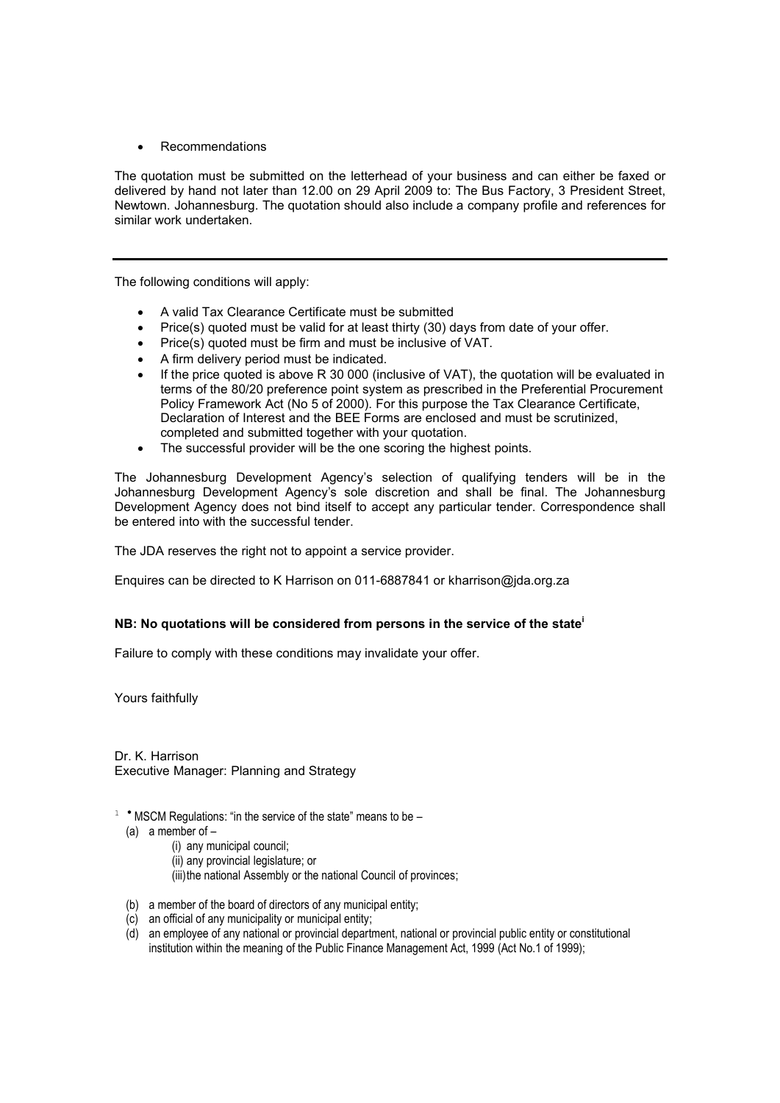Recommendations

The quotation must be submitted on the letterhead of your business and can either be faxed or delivered by hand not later than 12.00 on 29 April 2009 to: The Bus Factory, 3 President Street, Newtown. Johannesburg. The quotation should also include a company profile and references for similar work undertaken.

The following conditions will apply:

- A valid Tax Clearance Certificate must be submitted
- $\bullet$  Price(s) quoted must be valid for at least thirty (30) days from date of your offer.
- Price(s) quoted must be firm and must be inclusive of VAT.
- A firm delivery period must be indicated.
- If the price quoted is above R 30 000 (inclusive of VAT), the quotation will be evaluated in terms of the 80/20 preference point system as prescribed in the Preferential Procurement Policy Framework Act (No 5 of 2000). For this purpose the Tax Clearance Certificate, Declaration of Interest and the BEE Forms are enclosed and must be scrutinized, completed and submitted together with your quotation.
- The successful provider will be the one scoring the highest points.

The Johannesburg Development Agency's selection of qualifying tenders will be in the Johannesburg Development Agency's sole discretion and shall be final. The Johannesburg Development Agency does not bind itself to accept any particular tender. Correspondence shall be entered into with the successful tender.

The JDA reserves the right not to appoint a service provider.

Enquires can be directed to K Harrison on 011-6887841 or kharrison@jda.org.za

## **NB: No quotations will be considered from persons in the service of the state<sup>i</sup>**

Failure to comply with these conditions may invalidate your offer.

Yours faithfully

Dr. K. Harrison Executive Manager: Planning and Strategy

- $1$  \* MSCM Regulations: "in the service of the state" means to be  $-$ 
	- (a) a member of
		- (i) any municipal council;
		- (ii) any provincial legislature; or
		- (iii)the national Assembly or the national Council of provinces;
	- (b) a member of the board of directors of any municipal entity;
	- (c) an official of any municipality or municipal entity;
	- (d) an employee of any national or provincial department, national or provincial public entity or constitutional institution within the meaning of the Public Finance Management Act, 1999 (Act No.1 of 1999);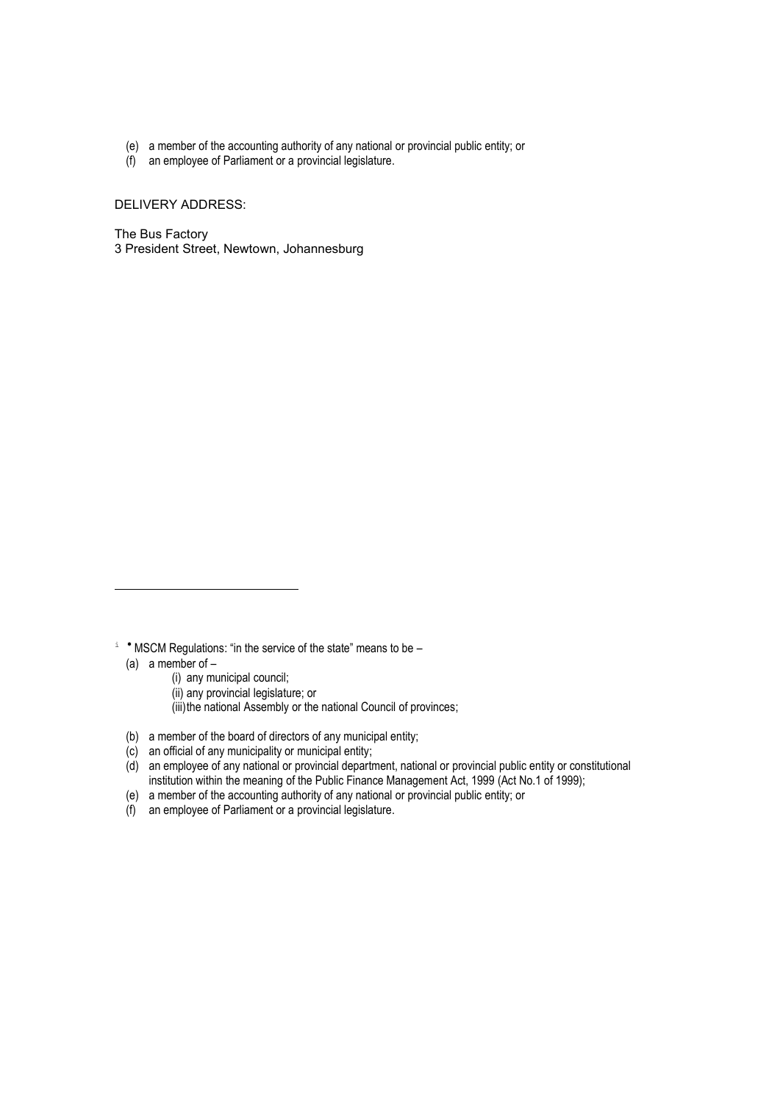- (e) a member of the accounting authority of any national or provincial public entity; or
- (f) an employee of Parliament or a provincial legislature.

DELIVERY ADDRESS:

The Bus Factory 3 President Street, Newtown, Johannesburg

(a) a member of  $-$ 

- (i) any municipal council;
- (ii) any provincial legislature; or
- (iii)the national Assembly or the national Council of provinces;
- (b) a member of the board of directors of any municipal entity;
- (c) an official of any municipality or municipal entity;
- (d) an employee of any national or provincial department, national or provincial public entity or constitutional institution within the meaning of the Public Finance Management Act, 1999 (Act No.1 of 1999);
- (e) a member of the accounting authority of any national or provincial public entity; or
- (f) an employee of Parliament or a provincial legislature.

 $i$  \* MSCM Regulations: "in the service of the state" means to be –